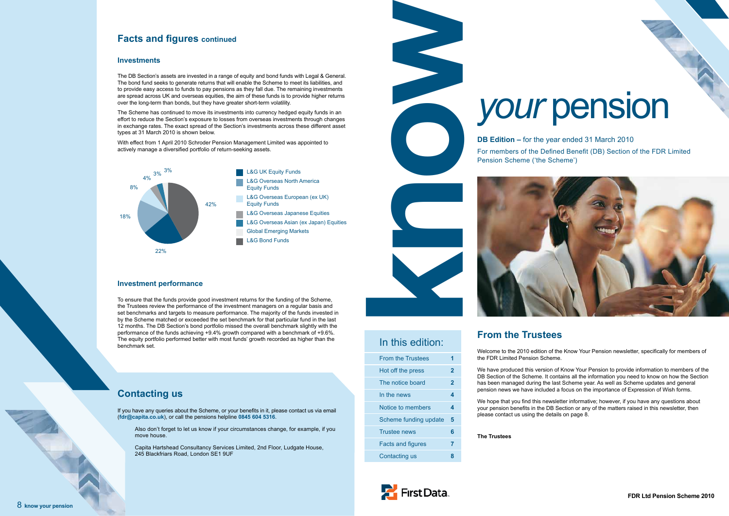#### 8 **know your pension**



For members of the Defined Benefit (DB) Section of the FDR Limited Pension Scheme ('the Scheme')

Hot off the press **2** The notice board **2** 

# *your* pension

In this edition:

From the Trustees **1**

In the news **4** Notice to members **4** Scheme funding update **5**

Trustee news **6**

Facts and figures **7** Contacting us **8**

# **From the Trustees**

Welcome to the 2010 edition of the Know Your Pension newsletter, specifically for members of the FDR Limited Pension Scheme.

We have produced this version of Know Your Pension to provide information to members of the DB Section of the Scheme. It contains all the information you need to know on how the Section has been managed during the last Scheme year. As well as Scheme updates and general pension news we have included a focus on the importance of Expression of Wish forms.

We hope that you find this newsletter informative; however, if you have any questions about your pension benefits in the DB Section or any of the matters raised in this newsletter, then please contact us using the details on page 8.

#### **The Trustees**



# **Facts and figures continued**

#### **Investments**

The DB Section's assets are invested in a range of equity and bond funds with Legal & General. The bond fund seeks to generate returns that will enable the Scheme to meet its liabilities, and to provide easy access to funds to pay pensions as they fall due. The remaining investments are spread across UK and overseas equities, the aim of these funds is to provide higher returns over the long-term than bonds, but they have greater short-term volatility.

The Scheme has continued to move its investments into currency hedged equity funds in an effort to reduce the Section's exposure to losses from overseas investments through changes in exchange rates. The exact spread of the Section's investments across these different asset types at 31 March 2010 is shown below.

With effect from 1 April 2010 Schroder Pension Management Limited was appointed to actively manage a diversified portfolio of return-seeking assets.

# **Contacting us**

If you have any queries about the Scheme, or your benefits in it, please contact us via email (**fdr@capita.co.uk**), or call the pensions helpline **0845 604 5316**.

Also don't forget to let us know if your circumstances change, for example, if you move house.

Capita Hartshead Consultancy Services Limited, 2nd Floor, Ludgate House, 245 Blackfriars Road, London SE1 9UF



#### **Investment performance**

To ensure that the funds provide good investment returns for the funding of the Scheme, the Trustees review the performance of the investment managers on a regular basis and set benchmarks and targets to measure performance. The majority of the funds invested in by the Scheme matched or exceeded the set benchmark for that particular fund in the last 12 months. The DB Section's bond portfolio missed the overall benchmark slightly with the performance of the funds achieving +9.4% growth compared with a benchmark of +9.6%. The equity portfolio performed better with most funds' growth recorded as higher than the benchmark set.

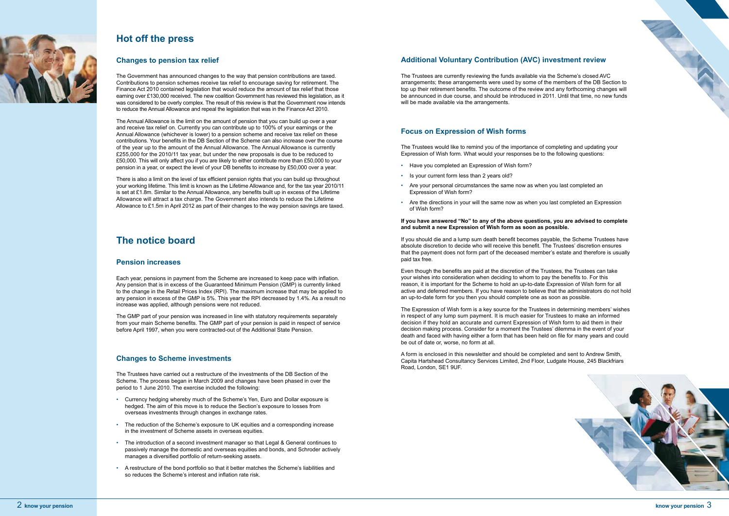

# **The notice board**

#### **Pension increases**

Each year, pensions in payment from the Scheme are increased to keep pace with inflation. Any pension that is in excess of the Guaranteed Minimum Pension (GMP) is currently linked to the change in the Retail Prices Index (RPI). The maximum increase that may be applied to any pension in excess of the GMP is 5%. This year the RPI decreased by 1.4%. As a result no increase was applied, although pensions were not reduced.

The GMP part of your pension was increased in line with statutory requirements separately from your main Scheme benefits. The GMP part of your pension is paid in respect of service before April 1997, when you were contracted-out of the Additional State Pension.

#### **Changes to Scheme investments**

The Trustees have carried out a restructure of the investments of the DB Section of the Scheme. The process began in March 2009 and changes have been phased in over the period to 1 June 2010. The exercise included the following:

- Currency hedging whereby much of the Scheme's Yen, Euro and Dollar exposure is hedged. The aim of this move is to reduce the Section's exposure to losses from overseas investments through changes in exchange rates.
- The reduction of the Scheme's exposure to UK equities and a corresponding increase in the investment of Scheme assets in overseas equities.
- The introduction of a second investment manager so that Legal & General continues to passively manage the domestic and overseas equities and bonds, and Schroder actively manages a diversified portfolio of return-seeking assets.
- A restructure of the bond portfolio so that it better matches the Scheme's liabilities and so reduces the Scheme's interest and inflation rate risk.



# **Hot off the press**

#### **Changes to pension tax relief**

The Trustees are currently reviewing the funds available via the Scheme's closed AVC arrangements; these arrangements were used by some of the members of the DB Section to top up their retirement benefits. The outcome of the review and any forthcoming changes will be announced in due course, and should be introduced in 2011. Until that time, no new funds will be made available via the arrangements.

The Government has announced changes to the way that pension contributions are taxed. Contributions to pension schemes receive tax relief to encourage saving for retirement. The Finance Act 2010 contained legislation that would reduce the amount of tax relief that those earning over £130,000 received. The new coalition Government has reviewed this legislation, as it was considered to be overly complex. The result of this review is that the Government now intends to reduce the Annual Allowance and repeal the legislation that was in the Finance Act 2010.

The Annual Allowance is the limit on the amount of pension that you can build up over a year and receive tax relief on. Currently you can contribute up to 100% of your earnings or the Annual Allowance (whichever is lower) to a pension scheme and receive tax relief on these contributions. Your benefits in the DB Section of the Scheme can also increase over the course of the year up to the amount of the Annual Allowance. The Annual Allowance is currently £255,000 for the 2010/11 tax year, but under the new proposals is due to be reduced to £50,000. This will only affect you if you are likely to either contribute more than £50,000 to your pension in a year, or expect the level of your DB benefits to increase by £50,000 over a year.

There is also a limit on the level of tax efficient pension rights that you can build up throughout your working lifetime. This limit is known as the Lifetime Allowance and, for the tax year 2010/11 is set at £1.8m. Similar to the Annual Allowance, any benefits built up in excess of the Lifetime Allowance will attract a tax charge. The Government also intends to reduce the Lifetime Allowance to £1.5m in April 2012 as part of their changes to the way pension savings are taxed.

## **Additional Voluntary Contribution (AVC) investment review**

#### **Focus on Expression of Wish forms**

The Trustees would like to remind you of the importance of completing and updating your Expression of Wish form. What would your responses be to the following questions:

- Have you completed an Expression of Wish form?
- Is your current form less than 2 years old?
- Are your personal circumstances the same now as when you last completed an Expression of Wish form?
- Are the directions in your will the same now as when you last completed an Expression of Wish form?

#### **If you have answered "No" to any of the above questions, you are advised to complete and submit a new Expression of Wish form as soon as possible.**

If you should die and a lump sum death benefit becomes payable, the Scheme Trustees have absolute discretion to decide who will receive this benefit. The Trustees' discretion ensures that the payment does not form part of the deceased member's estate and therefore is usually paid tax free.

Even though the benefits are paid at the discretion of the Trustees, the Trustees can take your wishes into consideration when deciding to whom to pay the benefits to. For this reason, it is important for the Scheme to hold an up-to-date Expression of Wish form for all active and deferred members. If you have reason to believe that the administrators do not hold an up-to-date form for you then you should complete one as soon as possible.

The Expression of Wish form is a key source for the Trustees in determining members' wishes in respect of any lump sum payment. It is much easier for Trustees to make an informed decision if they hold an accurate and current Expression of Wish form to aid them in their decision making process. Consider for a moment the Trustees' dilemma in the event of your death and faced with having either a form that has been held on file for many years and could be out of date or, worse, no form at all.

A form is enclosed in this newsletter and should be completed and sent to Andrew Smith, Capita Hartshead Consultancy Services Limited, 2nd Floor, Ludgate House, 245 Blackfriars Road, London, SE1 9UF.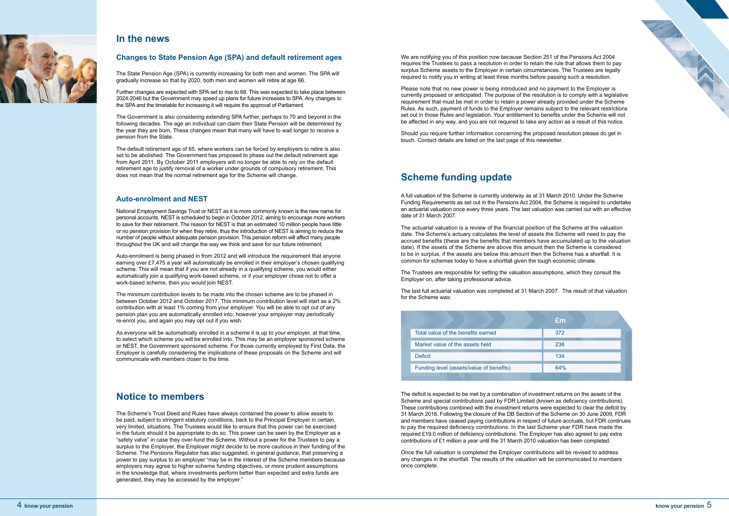#### **Changes to State Pension Age (SPA) and default retirement ages**

The State Pension Age (SPA) is currently increasing for both men and women. The SPA will gradually increase so that by 2020, both men and women will retire at age 66.

Further changes are expected with SPA set to rise to 68. This was expected to take place between 2024-2046 but the Government may speed up plans for future increases to SPA. Any changes to the SPA and the timetable for increasing it will require the approval of Parliament.

The Government is also considering extending SPA further, perhaps to 70 and beyond in the following decades. The age an individual can claim their State Pension will be determined by the year they are born. These changes mean that many will have to wait longer to receive a pension from the State.

The default retirement age of 65, where workers can be forced by employers to retire is also set to be abolished. The Government has proposed to phase out the default retirement age from April 2011. By October 2011 employers will no longer be able to rely on the default retirement age to justify removal of a worker under grounds of compulsory retirement. This does not mean that the normal retirement age for the Scheme will change.

#### **Auto-enrolment and NEST**

National Employment Savings Trust or NEST as it is more commonly known is the new name for personal accounts. NEST is scheduled to begin in October 2012, aiming to encourage more workers to save for their retirement. The reason for NEST is that an estimated 10 million people have little or no pension provision for when they retire, thus the introduction of NEST is aiming to reduce the number of people without adequate pension provision. This pension reform will affect many people throughout the UK and will change the way we think and save for our future retirement.

Auto-enrolment is being phased in from 2012 and will introduce the requirement that anyone earning over £7,475 a year will automatically be enrolled in their employer's chosen qualifying scheme. This will mean that if you are not already in a qualifying scheme, you would either automatically join a qualifying work-based scheme, or if your employer chose not to offer a work-based scheme, then you would join NEST.

The minimum contribution levels to be made into the chosen scheme are to be phased in between October 2012 and October 2017. This minimum contribution level will start as a 2% contribution with at least 1% coming from your employer. You will be able to opt out of any pension plan you are automatically enrolled into; however your employer may periodically re-enrol you, and again you may opt out if you wish.

As everyone will be automatically enrolled in a scheme it is up to your employer, at that time, to select which scheme you will be enrolled into. This may be an employer sponsored scheme or NEST, the Government sponsored scheme. For those currently employed by First Data, the Employer is carefully considering the implications of these proposals on the Scheme and will communicate with members closer to the time.

# **Notice to members**

The Scheme's Trust Deed and Rules have always contained the power to allow assets to be paid, subject to stringent statutory conditions, back to the Principal Employer in certain, very limited, situations. The Trustees would like to ensure that this power can be exercised in the future should it be appropriate to do so. This power can be seen by the Employer as a "safety valve" in case they over-fund the Scheme. Without a power for the Trustees to pay a surplus to the Employer, the Employer might decide to be more cautious in their funding of the Scheme. The Pensions Regulator has also suggested, in general guidance, that preserving a power to pay surplus to an employer "may be in the interest of the Scheme members because employers may agree to higher scheme funding objectives, or more prudent assumptions in the knowledge that, where investments perform better than expected and extra funds are generated, they may be accessed by the employer."



## **In the news**

A full valuation of the Scheme is currently underway as at 31 March 2010. Under the Scheme Funding Requirements as set out in the Pensions Act 2004, the Scheme is required to undertake an actuarial valuation once every three years. The last valuation was carried out with an effective date of 31 March 2007.

The actuarial valuation is a review of the financial position of the Scheme at the valuation date. The Scheme's actuary calculates the level of assets the Scheme will need to pay the accrued benefits (these are the benefits that members have accumulated up to the valuation date). If the assets of the Scheme are above this amount then the Scheme is considered to be in surplus, if the assets are below this amount then the Scheme has a shortfall. It is common for schemes today to have a shortfall given the tough economic climate.

The Trustees are responsible for setting the valuation assumptions, which they consult the Employer on, after taking professional advice.

The last full actuarial valuation was completed at 31 March 2007. The result of that valuation for the Scheme was:

We are notifying you of this position now because Section 251 of the Pensions Act 2004 requires the Trustees to pass a resolution in order to retain the rule that allows them to pay surplus Scheme assets to the Employer in certain circumstances. The Trustees are legally required to notify you in writing at least three months before passing such a resolution.

Please note that no new power is being introduced and no payment to the Employer is currently proposed or anticipated. The purpose of the resolution is to comply with a legislative requirement that must be met in order to retain a power already provided under the Scheme Rules. As such, payment of funds to the Employer remains subject to the relevant restrictions set out in those Rules and legislation. Your entitlement to benefits under the Scheme will not be affected in any way, and you are not required to take any action as a result of this notice.

Should you require further information concerning the proposed resolution please do get in touch. Contact details are listed on the last page of this newsletter.

# **Scheme funding update**

|                                          | Em  |
|------------------------------------------|-----|
| Total value of the benefits earned       | 372 |
| Market value of the assets held          | 238 |
| <b>Deficit</b>                           | 134 |
| Funding level (assets/value of benefits) | 64% |
|                                          |     |

The deficit is expected to be met by a combination of investment returns on the assets of the Scheme and special contributions paid by FDR Limited (known as deficiency contributions). These contributions combined with the investment returns were expected to clear the deficit by 31 March 2018. Following the closure of the DB Section of the Scheme on 30 June 2009, FDR and members have ceased paying contributions in respect of future accruals, but FDR continues to pay the required deficiency contributions. In the last Scheme year FDR have made the required £19.0 million of deficiency contributions. The Employer has also agreed to pay extra contributions of £1 million a year until the 31 March 2010 valuation has been completed.

Once the full valuation is completed the Employer contributions will be revised to address any changes in the shortfall. The results of the valuation will be communicated to members once complete.